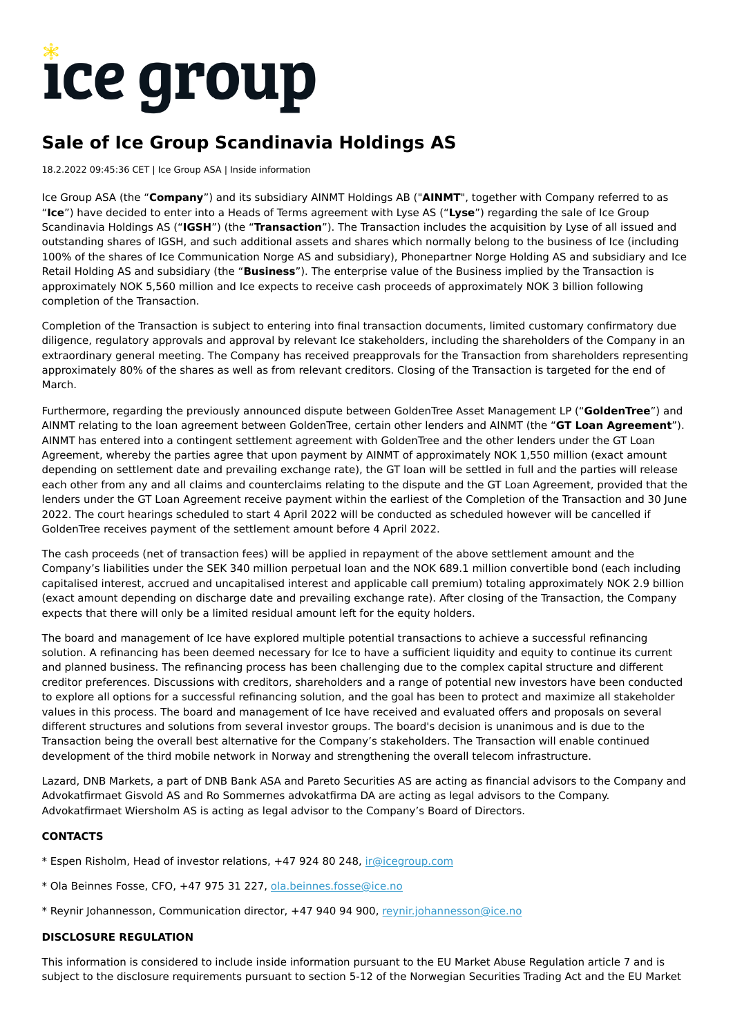# ice group

## **Sale of Ice Group Scandinavia Holdings AS**

#### 18.2.2022 09:45:36 CET | Ice Group ASA | Inside information

Ice Group ASA (the "**Company**") and its subsidiary AINMT Holdings AB ("**AINMT**", together with Company referred to as "**Ice**") have decided to enter into a Heads of Terms agreement with Lyse AS ("**Lyse**") regarding the sale of Ice Group Scandinavia Holdings AS ("**IGSH**") (the "**Transaction**"). The Transaction includes the acquisition by Lyse of all issued and outstanding shares of IGSH, and such additional assets and shares which normally belong to the business of Ice (including 100% of the shares of Ice Communication Norge AS and subsidiary), Phonepartner Norge Holding AS and subsidiary and Ice Retail Holding AS and subsidiary (the "**Business**"). The enterprise value of the Business implied by the Transaction is approximately NOK 5,560 million and Ice expects to receive cash proceeds of approximately NOK 3 billion following completion of the Transaction.

Completion of the Transaction is subject to entering into final transaction documents, limited customary confirmatory due diligence, regulatory approvals and approval by relevant Ice stakeholders, including the shareholders of the Company in an extraordinary general meeting. The Company has received preapprovals for the Transaction from shareholders representing approximately 80% of the shares as well as from relevant creditors. Closing of the Transaction is targeted for the end of March.

Furthermore, regarding the previously announced dispute between GoldenTree Asset Management LP ("**GoldenTree**") and AINMT relating to the loan agreement between GoldenTree, certain other lenders and AINMT (the "**GT Loan Agreement**"). AINMT has entered into a contingent settlement agreement with GoldenTree and the other lenders under the GT Loan Agreement, whereby the parties agree that upon payment by AINMT of approximately NOK 1,550 million (exact amount depending on settlement date and prevailing exchange rate), the GT loan will be settled in full and the parties will release each other from any and all claims and counterclaims relating to the dispute and the GT Loan Agreement, provided that the lenders under the GT Loan Agreement receive payment within the earliest of the Completion of the Transaction and 30 June 2022. The court hearings scheduled to start 4 April 2022 will be conducted as scheduled however will be cancelled if GoldenTree receives payment of the settlement amount before 4 April 2022.

The cash proceeds (net of transaction fees) will be applied in repayment of the above settlement amount and the Company's liabilities under the SEK 340 million perpetual loan and the NOK 689.1 million convertible bond (each including capitalised interest, accrued and uncapitalised interest and applicable call premium) totaling approximately NOK 2.9 billion (exact amount depending on discharge date and prevailing exchange rate). After closing of the Transaction, the Company expects that there will only be a limited residual amount left for the equity holders.

The board and management of Ice have explored multiple potential transactions to achieve a successful refinancing solution. A refinancing has been deemed necessary for Ice to have a sufficient liquidity and equity to continue its current and planned business. The refinancing process has been challenging due to the complex capital structure and different creditor preferences. Discussions with creditors, shareholders and a range of potential new investors have been conducted to explore all options for a successful refinancing solution, and the goal has been to protect and maximize all stakeholder values in this process. The board and management of Ice have received and evaluated offers and proposals on several different structures and solutions from several investor groups. The board's decision is unanimous and is due to the Transaction being the overall best alternative for the Company's stakeholders. The Transaction will enable continued development of the third mobile network in Norway and strengthening the overall telecom infrastructure.

Lazard, DNB Markets, a part of DNB Bank ASA and Pareto Securities AS are acting as financial advisors to the Company and Advokatfirmaet Gisvold AS and Ro Sommernes advokatfirma DA are acting as legal advisors to the Company. Advokatfirmaet Wiersholm AS is acting as legal advisor to the Company's Board of Directors.

#### **CONTACTS**

- \* Espen Risholm, Head of investor relations, +47 924 80 248, [ir@icegroup.com](mailto:ir@icegroup.com)
- \* Ola Beinnes Fosse, CFO, +47 975 31 227, [ola.beinnes.fosse@ice.no](mailto:ola.beinnes.fosse@ice.no)
- \* Reynir Johannesson, Communication director, +47 940 94 900, [reynir.johannesson@ice.no](mailto:reynir.johannesson@ice.no)

#### **DISCLOSURE REGULATION**

This information is considered to include inside information pursuant to the EU Market Abuse Regulation article 7 and is subject to the disclosure requirements pursuant to section 5-12 of the Norwegian Securities Trading Act and the EU Market